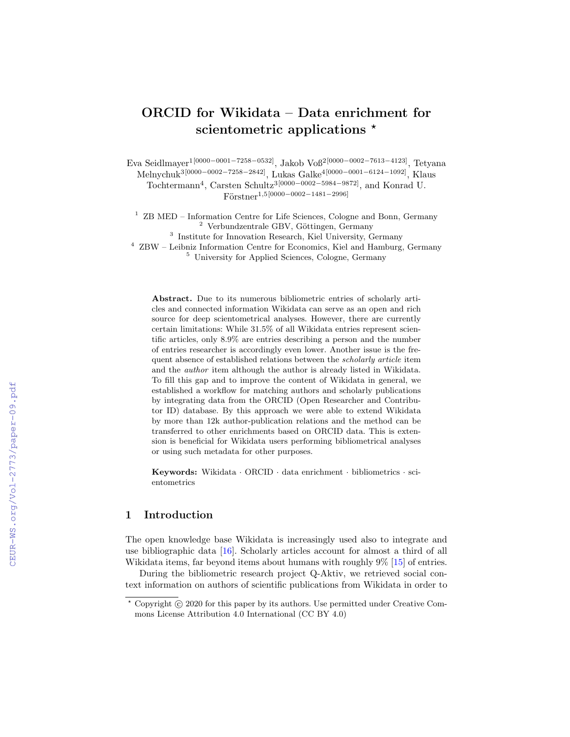# ORCID for Wikidata – Data enrichment for scientometric applications  $\star$

Eva Seidlmayer1[0000−0001−7258−0532], Jakob Voß2[0000−0002−7613−4123], Tetyana Melnychuk3[0000−0002−7258−2842], Lukas Galke4[0000−0001−6124−1092], Klaus

Tochtermann<sup>4</sup>, Carsten Schultz<sup>3[0000–0002–5984–9872]</sup>, and Konrad U.  $Förstner^{1,5[0000-0002-1481-2996]}$ 

<sup>1</sup> ZB MED – Information Centre for Life Sciences, Cologne and Bonn, Germany  $2$  Verbundzentrale GBV, Göttingen, Germany

<sup>3</sup> Institute for Innovation Research, Kiel University, Germany

<sup>4</sup> ZBW – Leibniz Information Centre for Economics, Kiel and Hamburg, Germany

<sup>5</sup> University for Applied Sciences, Cologne, Germany

Abstract. Due to its numerous bibliometric entries of scholarly articles and connected information Wikidata can serve as an open and rich source for deep scientometrical analyses. However, there are currently certain limitations: While 31.5% of all Wikidata entries represent scientific articles, only 8.9% are entries describing a person and the number of entries researcher is accordingly even lower. Another issue is the frequent absence of established relations between the scholarly article item and the author item although the author is already listed in Wikidata. To fill this gap and to improve the content of Wikidata in general, we established a workflow for matching authors and scholarly publications by integrating data from the ORCID (Open Researcher and Contributor ID) database. By this approach we were able to extend Wikidata by more than 12k author-publication relations and the method can be transferred to other enrichments based on ORCID data. This is extension is beneficial for Wikidata users performing bibliometrical analyses or using such metadata for other purposes.

Keywords: Wikidata · ORCID · data enrichment · bibliometrics · scientometrics

### 1 Introduction

The open knowledge base Wikidata is increasingly used also to integrate and use bibliographic data [\[16\]](#page--1-0). Scholarly articles account for almost a third of all Wikidata items, far beyond items about humans with roughly 9% [\[15\]](#page--1-1) of entries.

During the bibliometric research project Q-Aktiv, we retrieved social context information on authors of scientific publications from Wikidata in order to

 $*$  Copyright  $\odot$  2020 for this paper by its authors. Use permitted under Creative Commons License Attribution 4.0 International (CC BY 4.0)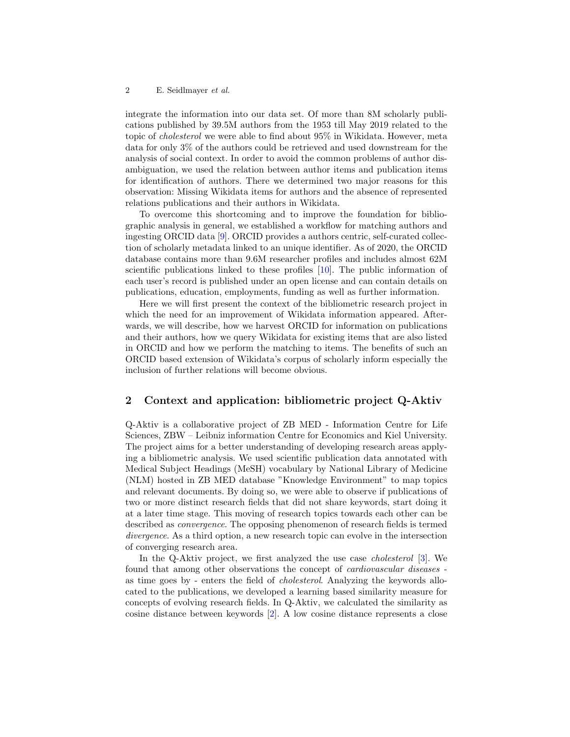#### 2 E. Seidlmayer et al.

integrate the information into our data set. Of more than 8M scholarly publications published by 39.5M authors from the 1953 till May 2019 related to the topic of cholesterol we were able to find about 95% in Wikidata. However, meta data for only 3% of the authors could be retrieved and used downstream for the analysis of social context. In order to avoid the common problems of author disambiguation, we used the relation between author items and publication items for identification of authors. There we determined two major reasons for this observation: Missing Wikidata items for authors and the absence of represented relations publications and their authors in Wikidata.

To overcome this shortcoming and to improve the foundation for bibliographic analysis in general, we established a workflow for matching authors and ingesting ORCID data [\[9\]](#page-6-0). ORCID provides a authors centric, self-curated collection of scholarly metadata linked to an unique identifier. As of 2020, the ORCID database contains more than 9.6M researcher profiles and includes almost 62M scientific publications linked to these profiles [\[10\]](#page-6-1). The public information of each user's record is published under an open license and can contain details on publications, education, employments, funding as well as further information.

Here we will first present the context of the bibliometric research project in which the need for an improvement of Wikidata information appeared. Afterwards, we will describe, how we harvest ORCID for information on publications and their authors, how we query Wikidata for existing items that are also listed in ORCID and how we perform the matching to items. The benefits of such an ORCID based extension of Wikidata's corpus of scholarly inform especially the inclusion of further relations will become obvious.

### 2 Context and application: bibliometric project Q-Aktiv

Q-Aktiv is a collaborative project of ZB MED - Information Centre for Life Sciences, ZBW – Leibniz information Centre for Economics and Kiel University. The project aims for a better understanding of developing research areas applying a bibliometric analysis. We used scientific publication data annotated with Medical Subject Headings (MeSH) vocabulary by National Library of Medicine (NLM) hosted in ZB MED database "Knowledge Environment" to map topics and relevant documents. By doing so, we were able to observe if publications of two or more distinct research fields that did not share keywords, start doing it at a later time stage. This moving of research topics towards each other can be described as convergence. The opposing phenomenon of research fields is termed divergence. As a third option, a new research topic can evolve in the intersection of converging research area.

In the Q-Aktiv project, we first analyzed the use case cholesterol [\[3\]](#page-5-0). We found that among other observations the concept of cardiovascular diseases as time goes by - enters the field of cholesterol. Analyzing the keywords allocated to the publications, we developed a learning based similarity measure for concepts of evolving research fields. In Q-Aktiv, we calculated the similarity as cosine distance between keywords [\[2\]](#page-5-1). A low cosine distance represents a close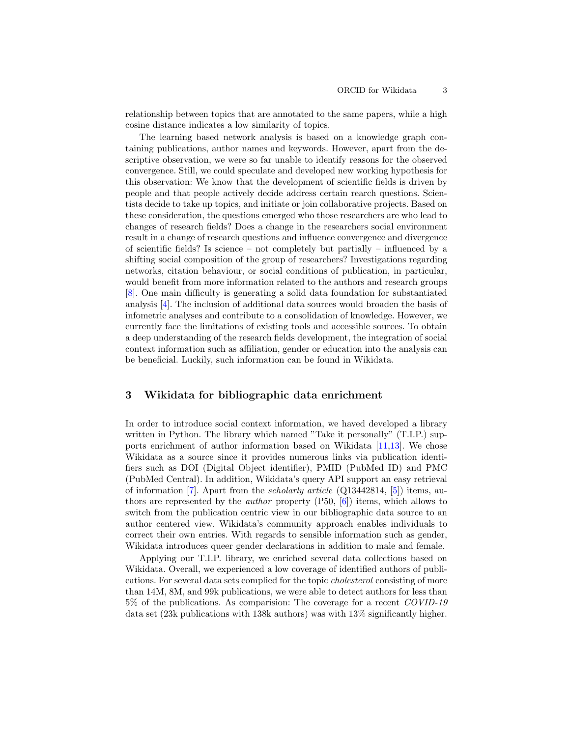relationship between topics that are annotated to the same papers, while a high cosine distance indicates a low similarity of topics.

The learning based network analysis is based on a knowledge graph containing publications, author names and keywords. However, apart from the descriptive observation, we were so far unable to identify reasons for the observed convergence. Still, we could speculate and developed new working hypothesis for this observation: We know that the development of scientific fields is driven by people and that people actively decide address certain rearch questions. Scientists decide to take up topics, and initiate or join collaborative projects. Based on these consideration, the questions emerged who those researchers are who lead to changes of research fields? Does a change in the researchers social environment result in a change of research questions and influence convergence and divergence of scientific fields? Is science – not completely but partially – influenced by a shifting social composition of the group of researchers? Investigations regarding networks, citation behaviour, or social conditions of publication, in particular, would benefit from more information related to the authors and research groups [\[8\]](#page-6-2). One main difficulty is generating a solid data foundation for substantiated analysis [\[4\]](#page-6-3). The inclusion of additional data sources would broaden the basis of infometric analyses and contribute to a consolidation of knowledge. However, we currently face the limitations of existing tools and accessible sources. To obtain a deep understanding of the research fields development, the integration of social context information such as affiliation, gender or education into the analysis can be beneficial. Luckily, such information can be found in Wikidata.

## 3 Wikidata for bibliographic data enrichment

In order to introduce social context information, we haved developed a library written in Python. The library which named "Take it personally" (T.I.P.) supports enrichment of author information based on Wikidata [\[11,](#page-6-4)[13\]](#page-6-5). We chose Wikidata as a source since it provides numerous links via publication identifiers such as DOI (Digital Object identifier), PMID (PubMed ID) and PMC (PubMed Central). In addition, Wikidata's query API support an easy retrieval of information [\[7\]](#page-6-6). Apart from the *scholarly article*  $(Q13442814, [5])$  $(Q13442814, [5])$  $(Q13442814, [5])$  items, authors are represented by the author property (P50, [\[6\]](#page-6-8)) items, which allows to switch from the publication centric view in our bibliographic data source to an author centered view. Wikidata's community approach enables individuals to correct their own entries. With regards to sensible information such as gender, Wikidata introduces queer gender declarations in addition to male and female.

Applying our T.I.P. library, we enriched several data collections based on Wikidata. Overall, we experienced a low coverage of identified authors of publications. For several data sets complied for the topic cholesterol consisting of more than 14M, 8M, and 99k publications, we were able to detect authors for less than 5% of the publications. As comparision: The coverage for a recent COVID-19 data set (23k publications with 138k authors) was with 13% significantly higher.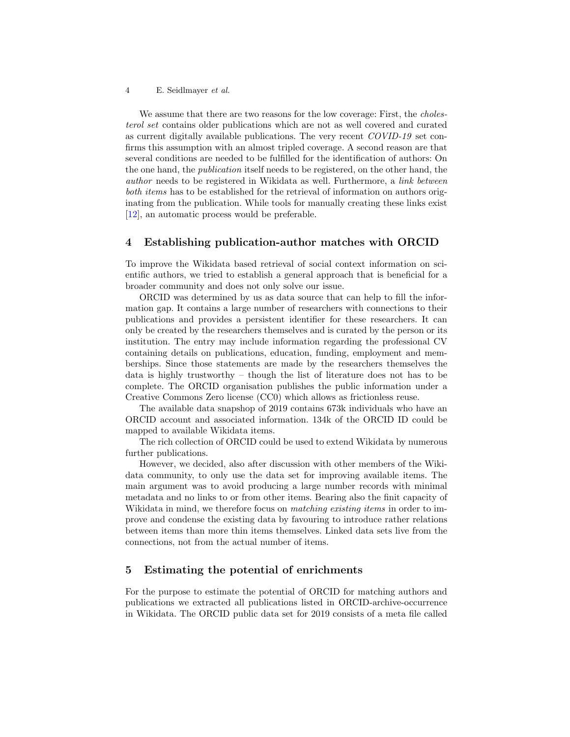4 E. Seidlmayer et al.

We assume that there are two reasons for the low coverage: First, the *choles*terol set contains older publications which are not as well covered and curated as current digitally available publications. The very recent COVID-19 set confirms this assumption with an almost tripled coverage. A second reason are that several conditions are needed to be fulfilled for the identification of authors: On the one hand, the publication itself needs to be registered, on the other hand, the author needs to be registered in Wikidata as well. Furthermore, a link between both items has to be established for the retrieval of information on authors originating from the publication. While tools for manually creating these links exist [\[12\]](#page-6-9), an automatic process would be preferable.

# 4 Establishing publication-author matches with ORCID

To improve the Wikidata based retrieval of social context information on scientific authors, we tried to establish a general approach that is beneficial for a broader community and does not only solve our issue.

ORCID was determined by us as data source that can help to fill the information gap. It contains a large number of researchers with connections to their publications and provides a persistent identifier for these researchers. It can only be created by the researchers themselves and is curated by the person or its institution. The entry may include information regarding the professional CV containing details on publications, education, funding, employment and memberships. Since those statements are made by the researchers themselves the data is highly trustworthy – though the list of literature does not has to be complete. The ORCID organisation publishes the public information under a Creative Commons Zero license (CC0) which allows as frictionless reuse.

The available data snapshop of 2019 contains 673k individuals who have an ORCID account and associated information. 134k of the ORCID ID could be mapped to available Wikidata items.

The rich collection of ORCID could be used to extend Wikidata by numerous further publications.

However, we decided, also after discussion with other members of the Wikidata community, to only use the data set for improving available items. The main argument was to avoid producing a large number records with minimal metadata and no links to or from other items. Bearing also the finit capacity of Wikidata in mind, we therefore focus on *matching existing items* in order to improve and condense the existing data by favouring to introduce rather relations between items than more thin items themselves. Linked data sets live from the connections, not from the actual number of items.

# 5 Estimating the potential of enrichments

For the purpose to estimate the potential of ORCID for matching authors and publications we extracted all publications listed in ORCID-archive-occurrence in Wikidata. The ORCID public data set for 2019 consists of a meta file called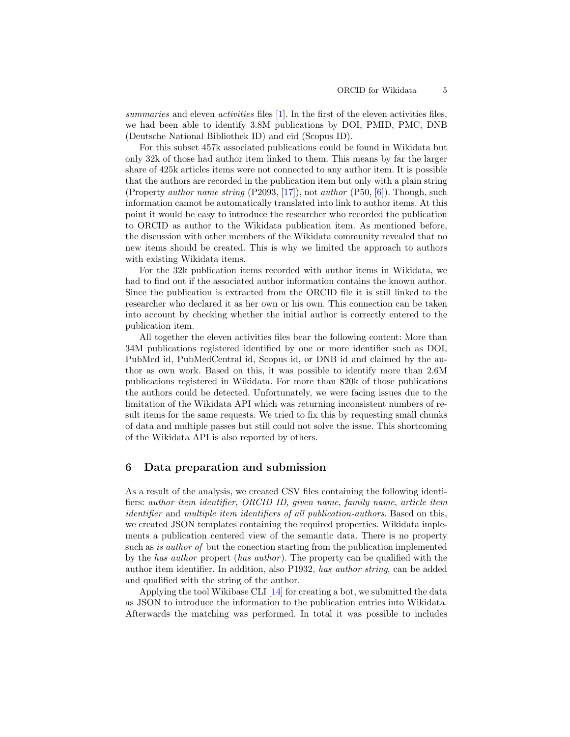summaries and eleven *activities* files  $[1]$ . In the first of the eleven activities files, we had been able to identify 3.8M publications by DOI, PMID, PMC, DNB (Deutsche National Bibliothek ID) and eid (Scopus ID).

For this subset 457k associated publications could be found in Wikidata but only 32k of those had author item linked to them. This means by far the larger share of 425k articles items were not connected to any author item. It is possible that the authors are recorded in the publication item but only with a plain string (Property author name string (P2093, [\[17\]](#page-6-10)), not author (P50, [\[6\]](#page-6-8)). Though, such information cannot be automatically translated into link to author items. At this point it would be easy to introduce the researcher who recorded the publication to ORCID as author to the Wikidata publication item. As mentioned before, the discussion with other members of the Wikidata community revealed that no new items should be created. This is why we limited the approach to authors with existing Wikidata items.

For the 32k publication items recorded with author items in Wikidata, we had to find out if the associated author information contains the known author. Since the publication is extracted from the ORCID file it is still linked to the researcher who declared it as her own or his own. This connection can be taken into account by checking whether the initial author is correctly entered to the publication item.

All together the eleven activities files bear the following content: More than 34M publications registered identified by one or more identifier such as DOI, PubMed id, PubMedCentral id, Scopus id, or DNB id and claimed by the author as own work. Based on this, it was possible to identify more than 2.6M publications registered in Wikidata. For more than 820k of those publications the authors could be detected. Unfortunately, we were facing issues due to the limitation of the Wikidata API which was returning inconsistent numbers of result items for the same requests. We tried to fix this by requesting small chunks of data and multiple passes but still could not solve the issue. This shortcoming of the Wikidata API is also reported by others.

### 6 Data preparation and submission

As a result of the analysis, we created CSV files containing the following identifiers: author item identifier, ORCID ID, given name, family name, article item identifier and multiple item identifiers of all publication-authors. Based on this, we created JSON templates containing the required properties. Wikidata implements a publication centered view of the semantic data. There is no property such as is author of but the conection starting from the publication implemented by the has author propert (has author ). The property can be qualified with the author item identifier. In addition, also P1932, has author string, can be added and qualified with the string of the author.

Applying the tool Wikibase CLI  $[14]$  for creating a bot, we submitted the data as JSON to introduce the information to the publication entries into Wikidata. Afterwards the matching was performed. In total it was possible to includes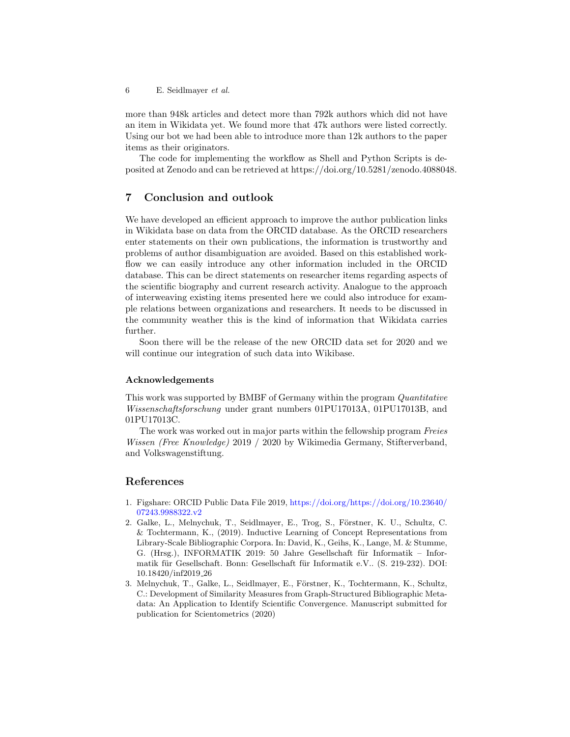6 E. Seidlmayer et al.

more than 948k articles and detect more than 792k authors which did not have an item in Wikidata yet. We found more that 47k authors were listed correctly. Using our bot we had been able to introduce more than 12k authors to the paper items as their originators.

The code for implementing the workflow as Shell and Python Scripts is deposited at Zenodo and can be retrieved at https://doi.org/10.5281/zenodo.4088048.

# 7 Conclusion and outlook

We have developed an efficient approach to improve the author publication links in Wikidata base on data from the ORCID database. As the ORCID researchers enter statements on their own publications, the information is trustworthy and problems of author disambiguation are avoided. Based on this established workflow we can easily introduce any other information included in the ORCID database. This can be direct statements on researcher items regarding aspects of the scientific biography and current research activity. Analogue to the approach of interweaving existing items presented here we could also introduce for example relations between organizations and researchers. It needs to be discussed in the community weather this is the kind of information that Wikidata carries further.

Soon there will be the release of the new ORCID data set for 2020 and we will continue our integration of such data into Wikibase.

#### Acknowledgements

This work was supported by BMBF of Germany within the program Quantitative Wissenschaftsforschung under grant numbers 01PU17013A, 01PU17013B, and 01PU17013C.

The work was worked out in major parts within the fellowship program Freies Wissen (Free Knowledge) 2019 / 2020 by Wikimedia Germany, Stifterverband, and Volkswagenstiftung.

# References

- <span id="page-5-2"></span>1. Figshare: ORCID Public Data File 2019, [https://doi.org/https://doi.org/10.23640/](https://doi.org/https://doi.org/10.23640/ 07243.9988322.v2 ) [07243.9988322.v2](https://doi.org/https://doi.org/10.23640/ 07243.9988322.v2 )
- <span id="page-5-1"></span>2. Galke, L., Melnychuk, T., Seidlmayer, E., Trog, S., Förstner, K. U., Schultz, C. & Tochtermann, K., (2019). Inductive Learning of Concept Representations from Library-Scale Bibliographic Corpora. In: David, K., Geihs, K., Lange, M. & Stumme, G. (Hrsg.), INFORMATIK 2019: 50 Jahre Gesellschaft für Informatik – Informatik für Gesellschaft. Bonn: Gesellschaft für Informatik e.V.. (S. 219-232). DOI: 10.18420/inf2019 26
- <span id="page-5-0"></span>3. Melnychuk, T., Galke, L., Seidlmayer, E., Förstner, K., Tochtermann, K., Schultz, C.: Development of Similarity Measures from Graph-Structured Bibliographic Metadata: An Application to Identify Scientific Convergence. Manuscript submitted for publication for Scientometrics (2020)